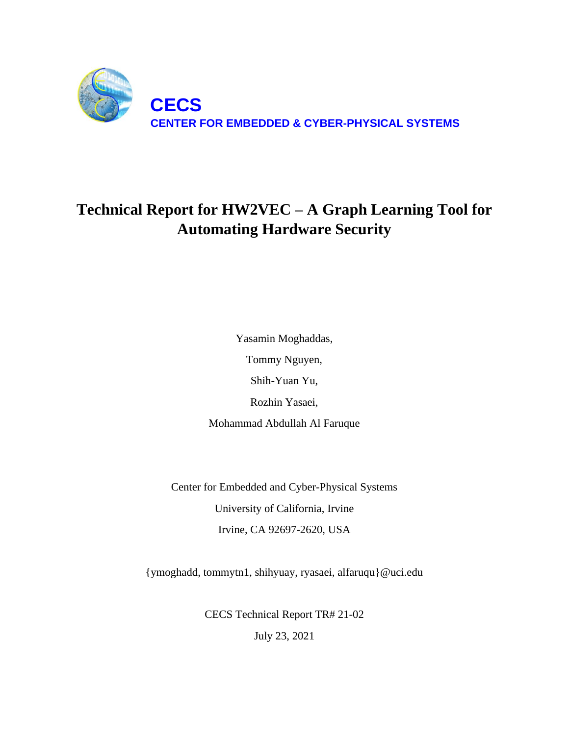

# **Technical Report for HW2VEC – A Graph Learning Tool for Automating Hardware Security**

Yasamin Moghaddas, Tommy Nguyen, Shih-Yuan Yu, Rozhin Yasaei, Mohammad Abdullah Al Faruque

Center for Embedded and Cyber-Physical Systems University of California, Irvine Irvine, CA 92697-2620, USA

{ymoghadd, tommytn1, shihyuay, ryasaei, alfaruqu}@uci.edu

CECS Technical Report TR# 21-02 July 23, 2021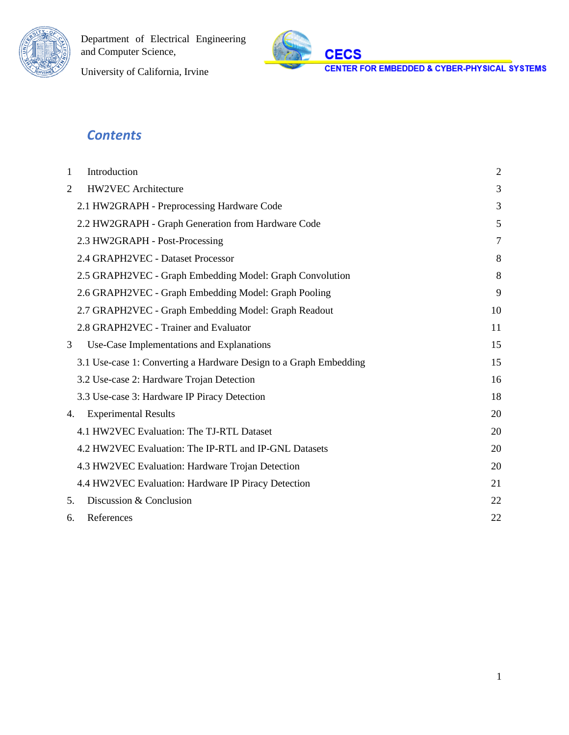



University of California, Irvine

## *Contents*

| Introduction<br>1                                                 |                |  |  |  |
|-------------------------------------------------------------------|----------------|--|--|--|
| <b>HW2VEC</b> Architecture                                        | 3              |  |  |  |
| 2.1 HW2GRAPH - Preprocessing Hardware Code                        | 3              |  |  |  |
| 2.2 HW2GRAPH - Graph Generation from Hardware Code                | 5              |  |  |  |
| 2.3 HW2GRAPH - Post-Processing                                    | $\overline{7}$ |  |  |  |
| 2.4 GRAPH2VEC - Dataset Processor                                 | 8              |  |  |  |
| 2.5 GRAPH2VEC - Graph Embedding Model: Graph Convolution          | 8              |  |  |  |
| 2.6 GRAPH2VEC - Graph Embedding Model: Graph Pooling              | 9              |  |  |  |
| 2.7 GRAPH2VEC - Graph Embedding Model: Graph Readout              | 10             |  |  |  |
| 2.8 GRAPH2VEC - Trainer and Evaluator                             | 11             |  |  |  |
| Use-Case Implementations and Explanations                         | 15             |  |  |  |
| 3.1 Use-case 1: Converting a Hardware Design to a Graph Embedding | 15             |  |  |  |
| 3.2 Use-case 2: Hardware Trojan Detection                         | 16             |  |  |  |
| 3.3 Use-case 3: Hardware IP Piracy Detection                      | 18             |  |  |  |
| <b>Experimental Results</b><br>4.                                 | 20             |  |  |  |
| 4.1 HW2VEC Evaluation: The TJ-RTL Dataset                         | 20             |  |  |  |
| 4.2 HW2VEC Evaluation: The IP-RTL and IP-GNL Datasets             | 20             |  |  |  |
| 4.3 HW2VEC Evaluation: Hardware Trojan Detection                  | 20             |  |  |  |
| 4.4 HW2VEC Evaluation: Hardware IP Piracy Detection               | 21             |  |  |  |
| Discussion & Conclusion<br>5.                                     | 22             |  |  |  |
| References<br>6.                                                  | 22             |  |  |  |
|                                                                   |                |  |  |  |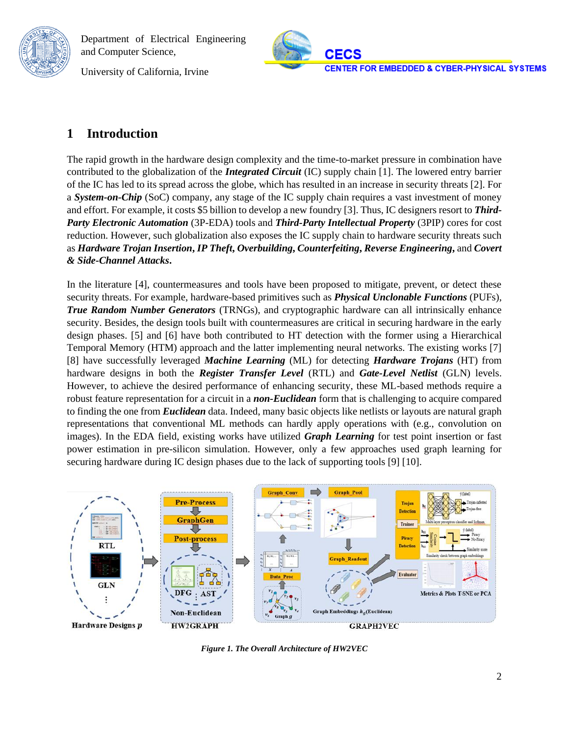**CECS CENTER FOR EMBEDDED & CYBER-PHYSICAL SYSTEMS** 

University of California, Irvine

### <span id="page-2-0"></span>**1 Introduction**

The rapid growth in the hardware design complexity and the time-to-market pressure in combination have contributed to the globalization of the *Integrated Circuit* (IC) supply chain [1]. The lowered entry barrier of the IC has led to its spread across the globe, which has resulted in an increase in security threats [2]. For a *System-on-Chip* (SoC) company, any stage of the IC supply chain requires a vast investment of money and effort. For example, it costs \$5 billion to develop a new foundry [3]. Thus, IC designers resort to *Third-Party Electronic Automation* (3P-EDA) tools and *Third-Party Intellectual Property* (3PIP) cores for cost reduction. However, such globalization also exposes the IC supply chain to hardware security threats such as *Hardware Trojan Insertion***,** *IP Theft***,** *Overbuilding***,** *Counterfeiting***,** *Reverse Engineering***,** and *Covert & Side-Channel Attacks***.**

In the literature [4], countermeasures and tools have been proposed to mitigate, prevent, or detect these security threats. For example, hardware-based primitives such as *Physical Unclonable Functions* (PUFs), *True Random Number Generators* (TRNGs), and cryptographic hardware can all intrinsically enhance security. Besides, the design tools built with countermeasures are critical in securing hardware in the early design phases. [5] and [6] have both contributed to HT detection with the former using a Hierarchical Temporal Memory (HTM) approach and the latter implementing neural networks. The existing works [7] [8] have successfully leveraged *Machine Learning* (ML) for detecting *Hardware Trojans* (HT) from hardware designs in both the *Register Transfer Level* (RTL) and *Gate-Level Netlist* (GLN) levels. However, to achieve the desired performance of enhancing security, these ML-based methods require a robust feature representation for a circuit in a *non-Euclidean* form that is challenging to acquire compared to finding the one from *Euclidean* data. Indeed, many basic objects like netlists or layouts are natural graph representations that conventional ML methods can hardly apply operations with (e.g., convolution on images). In the EDA field, existing works have utilized *Graph Learning* for test point insertion or fast power estimation in pre-silicon simulation. However, only a few approaches used graph learning for securing hardware during IC design phases due to the lack of supporting tools [9] [10].



*Figure 1. The Overall Architecture of HW2VEC*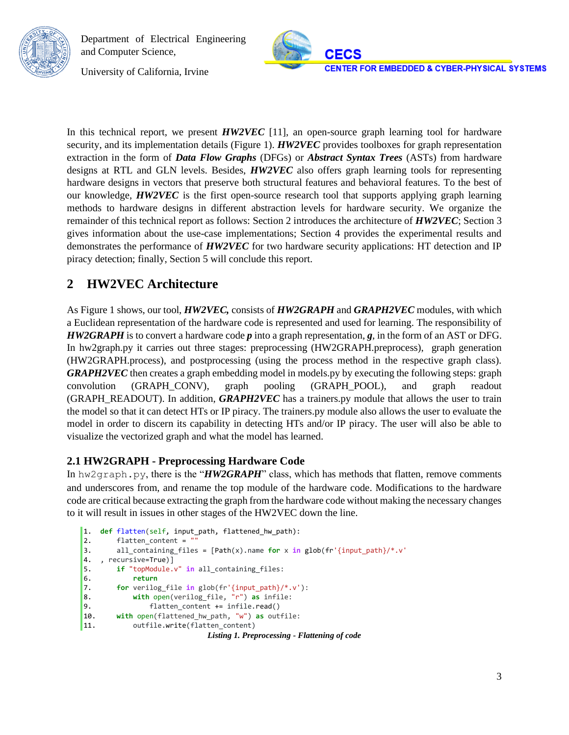

University of California, Irvine

In this technical report, we present *HW2VEC* [11], an open-source graph learning tool for hardware security, and its implementation details (Figure 1). *HW2VEC* provides toolboxes for graph representation extraction in the form of *Data Flow Graphs* (DFGs) or *Abstract Syntax Trees* (ASTs) from hardware designs at RTL and GLN levels. Besides, *HW2VEC* also offers graph learning tools for representing hardware designs in vectors that preserve both structural features and behavioral features. To the best of our knowledge, *HW2VEC* is the first open-source research tool that supports applying graph learning methods to hardware designs in different abstraction levels for hardware security. We organize the remainder of this technical report as follows: Section 2 introduces the architecture of *HW2VEC*; Section 3 gives information about the use-case implementations; Section 4 provides the experimental results and demonstrates the performance of *HW2VEC* for two hardware security applications: HT detection and IP piracy detection; finally, Section 5 will conclude this report.

## <span id="page-3-0"></span>**2 HW2VEC Architecture**

As Figure 1 shows, our tool, *HW2VEC,* consists of *HW2GRAPH* and *GRAPH2VEC* modules, with which a Euclidean representation of the hardware code is represented and used for learning. The responsibility of *HW2GRAPH* is to convert a hardware code *p* into a graph representation, *g*, in the form of an AST or DFG. In hw2graph.py it carries out three stages: preprocessing (HW2GRAPH.preprocess), graph generation (HW2GRAPH.process), and postprocessing (using the process method in the respective graph class). *GRAPH2VEC* then creates a graph embedding model in models.py by executing the following steps: graph convolution (GRAPH\_CONV), graph pooling (GRAPH\_POOL), and graph readout (GRAPH\_READOUT). In addition, *GRAPH2VEC* has a trainers.py module that allows the user to train the model so that it can detect HTs or IP piracy. The trainers.py module also allows the user to evaluate the model in order to discern its capability in detecting HTs and/or IP piracy. The user will also be able to visualize the vectorized graph and what the model has learned.

### <span id="page-3-1"></span>**2.1 HW2GRAPH - Preprocessing Hardware Code**

In hw2graph.py, there is the "*HW2GRAPH*" class, which has methods that flatten, remove comments and underscores from, and rename the top module of the hardware code. Modifications to the hardware code are critical because extracting the graph from the hardware code without making the necessary changes to it will result in issues in other stages of the HW2VEC down the line.

```
1. def flatten(self, input_path, flattened_hw_path):
2. flatten_content = ""
3. all_containing_files = [Path(x).name for x in glob(fr'{input_path}/*.v'
4. , recursive=True)]
5. if "topModule.v" in all containing files:
6. return
7. for verilog_file in glob(fr'{input_path}/*.v'):
8. with open(verilog_file, "r") as infile:
9. flatten_content += infile.read() 
10. with open(flattened_hw_path, "w") as outfile:
11. outfile.write(flatten_content)
                           Listing 1. Preprocessing - Flattening of code
```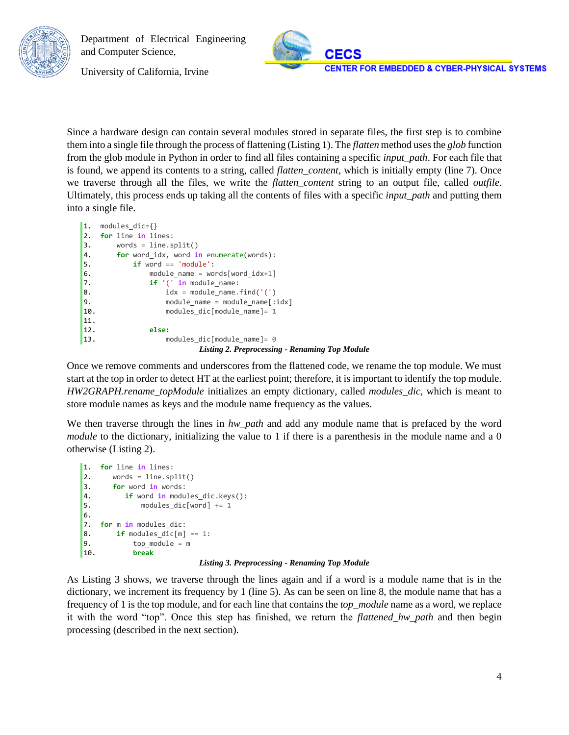

University of California, Irvine

Since a hardware design can contain several modules stored in separate files, the first step is to combine them into a single file through the process of flattening (Listing 1). The *flatten* method uses the *glob* function from the glob module in Python in order to find all files containing a specific *input\_path*. For each file that is found, we append its contents to a string, called *flatten\_content*, which is initially empty (line 7). Once we traverse through all the files, we write the *flatten\_content* string to an output file, called *outfile*. Ultimately, this process ends up taking all the contents of files with a specific *input\_path* and putting them into a single file.

```
1. modules_dic={}
2. for line in lines:
3. words = line.split()
4. for word_idx, word in enumerate(words):
5. if word == 'module':
6. module_name = words[word_idx+1]
7. if '(' in module_name:
8. idx = module_name.find('('))9. module_name = module_name[:idx]
10. modules_dic[module_name]= 1
11.
12. else:
13. modules_dic[module_name]= 0
                      Listing 2. Preprocessing - Renaming Top Module
```
Once we remove comments and underscores from the flattened code, we rename the top module. We must start at the top in order to detect HT at the earliest point; therefore, it is important to identify the top module. *HW2GRAPH.rename\_topModule* initializes an empty dictionary, called *modules\_dic*, which is meant to store module names as keys and the module name frequency as the values.

We then traverse through the lines in *hw\_path* and add any module name that is prefaced by the word *module* to the dictionary, initializing the value to 1 if there is a parenthesis in the module name and a 0 otherwise (Listing 2).

```
1. for line in lines:
2. words = line.split()3. for word in words:
4. if word in modules_dic.keys():
5. modules_dic[word] += 1
6.
7. for m in modules dic:
8. if modules \text{dic}[m] == 1:
9. top module = m
10. break
```
#### *Listing 3. Preprocessing - Renaming Top Module*

As Listing 3 shows, we traverse through the lines again and if a word is a module name that is in the dictionary, we increment its frequency by 1 (line 5). As can be seen on line 8, the module name that has a frequency of 1 is the top module, and for each line that contains the *top\_module* name as a word, we replace it with the word "top". Once this step has finished, we return the *flattened\_hw\_path* and then begin processing (described in the next section).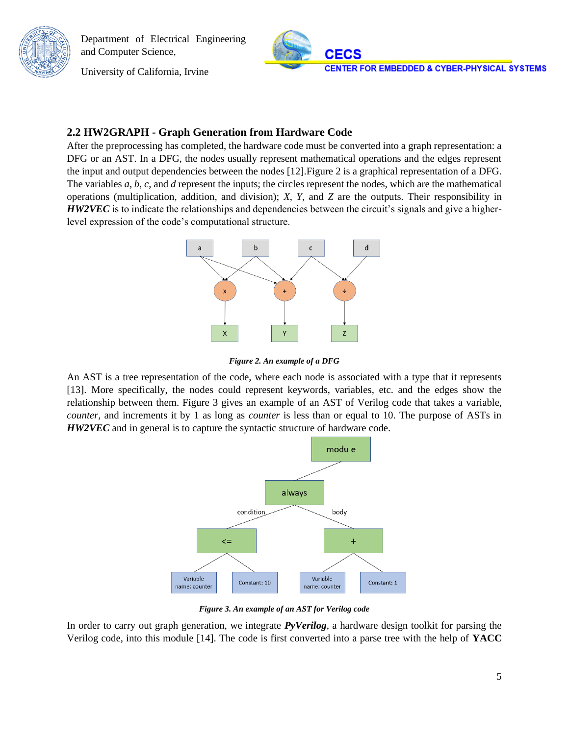University of California, Irvine



#### <span id="page-5-0"></span>**2.2 HW2GRAPH - Graph Generation from Hardware Code**

After the preprocessing has completed, the hardware code must be converted into a graph representation: a DFG or an AST. In a DFG, the nodes usually represent mathematical operations and the edges represent the input and output dependencies between the nodes [12].Figure 2 is a graphical representation of a DFG. The variables *a*, *b*, *c*, and *d* represent the inputs; the circles represent the nodes, which are the mathematical operations (multiplication, addition, and division); *X*, *Y*, and *Z* are the outputs. Their responsibility in *HW2VEC* is to indicate the relationships and dependencies between the circuit's signals and give a higherlevel expression of the code's computational structure.



*Figure 2. An example of a DFG*

An AST is a tree representation of the code, where each node is associated with a type that it represents [13]. More specifically, the nodes could represent keywords, variables, etc. and the edges show the relationship between them. Figure 3 gives an example of an AST of Verilog code that takes a variable, *counter*, and increments it by 1 as long as *counter* is less than or equal to 10. The purpose of ASTs in *HW2VEC* and in general is to capture the syntactic structure of hardware code.



*Figure 3. An example of an AST for Verilog code*

In order to carry out graph generation, we integrate *PyVerilog*, a hardware design toolkit for parsing the Verilog code, into this module [14]. The code is first converted into a parse tree with the help of **YACC**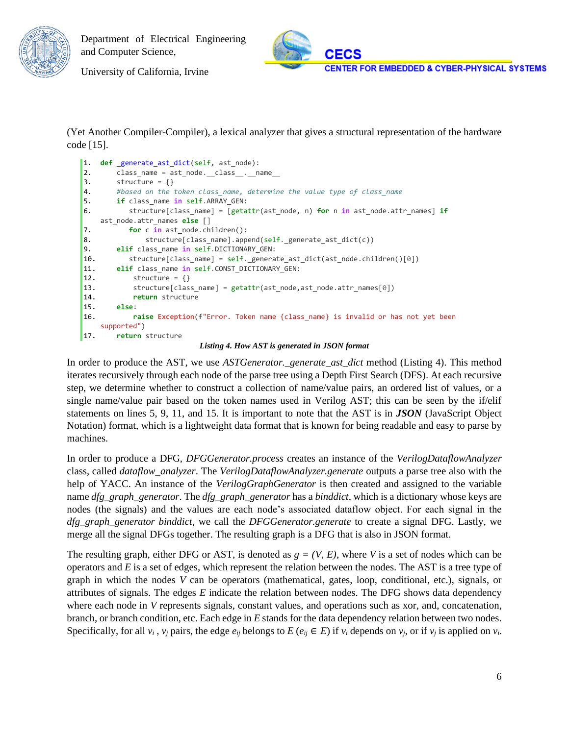

University of California, Irvine

(Yet Another Compiler-Compiler), a lexical analyzer that gives a structural representation of the hardware code [15].

```
1. def _generate_ast_dict(self, ast_node):
2. class_name = ast_node. _class_. _name_
3. structure = \{\}4. #based on the token class_name, determine the value type of class_name
5. if class_name in self.ARRAY_GEN:
6. structure[class_name] = [getattr(ast_node, n) for n in ast_node.attr_names] if
   ast_node.attr_names else []
7. for c in ast_node.children():
8. structure[class_name].append(self._generate_ast_dict(c))
9. elif class_name in self.DICTIONARY_GEN:
10. structure[class_name] = self._generate_ast_dict(ast_node.children()[0])
11. elif class_name in self.CONST_DICTIONARY_GEN:
12. structure = \{\}13. structure[class_name] = getattr(ast_node,ast_node.attr_names[0])
14. return structure
15. else:
16. raise Exception(f"Error. Token name {class_name} is invalid or has not yet been 
   supported")
17. return structure
```
*Listing 4. How AST is generated in JSON format*

In order to produce the AST, we use *ASTGenerator.\_generate\_ast\_dict* method (Listing 4). This method iterates recursively through each node of the parse tree using a Depth First Search (DFS). At each recursive step, we determine whether to construct a collection of name/value pairs, an ordered list of values, or a single name/value pair based on the token names used in Verilog AST; this can be seen by the if/elif statements on lines 5, 9, 11, and 15. It is important to note that the AST is in *JSON* (JavaScript Object Notation) format, which is a lightweight data format that is known for being readable and easy to parse by machines.

In order to produce a DFG, *DFGGenerator.process* creates an instance of the *VerilogDataflowAnalyzer* class, called *dataflow\_analyzer*. The *VerilogDataflowAnalyzer.generate* outputs a parse tree also with the help of YACC. An instance of the *VerilogGraphGenerator* is then created and assigned to the variable name *dfg\_graph\_generator*. The *dfg\_graph\_generator* has a *binddict*, which is a dictionary whose keys are nodes (the signals) and the values are each node's associated dataflow object. For each signal in the *dfg\_graph\_generator binddict*, we call the *DFGGenerator.generate* to create a signal DFG. Lastly, we merge all the signal DFGs together. The resulting graph is a DFG that is also in JSON format.

The resulting graph, either DFG or AST, is denoted as  $g = (V, E)$ , where *V* is a set of nodes which can be operators and *E* is a set of edges, which represent the relation between the nodes. The AST is a tree type of graph in which the nodes *V* can be operators (mathematical, gates, loop, conditional, etc.), signals, or attributes of signals. The edges *E* indicate the relation between nodes. The DFG shows data dependency where each node in *V* represents signals, constant values, and operations such as xor, and, concatenation, branch, or branch condition, etc. Each edge in *E* stands for the data dependency relation between two nodes. Specifically, for all  $v_i$ ,  $v_j$  pairs, the edge  $e_{ij}$  belongs to  $E(e_{ij} \in E)$  if  $v_i$  depends on  $v_j$ , or if  $v_j$  is applied on  $v_i$ .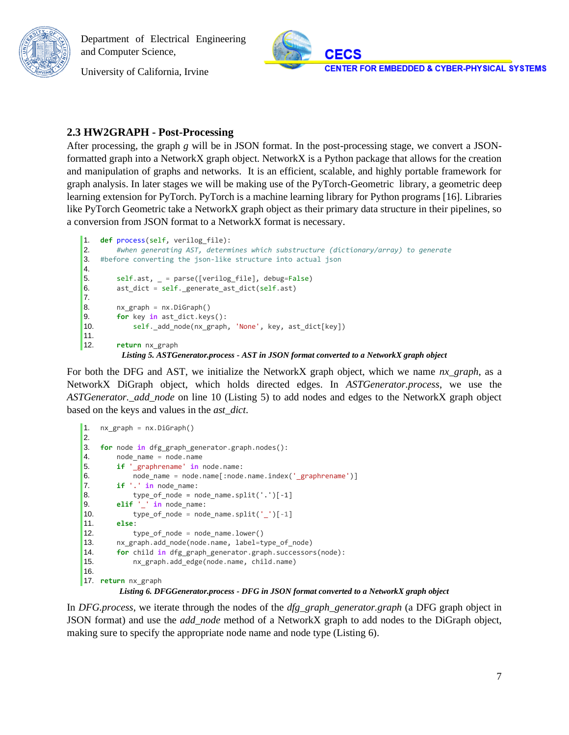University of California, Irvine



### <span id="page-7-0"></span>**2.3 HW2GRAPH - Post-Processing**

After processing, the graph *g* will be in JSON format. In the post-processing stage, we convert a JSONformatted graph into a NetworkX graph object. NetworkX is a Python package that allows for the creation and manipulation of graphs and networks. It is an efficient, scalable, and highly portable framework for graph analysis. In later stages we will be making use of the PyTorch-Geometric library, a geometric deep learning extension for PyTorch. PyTorch is a machine learning library for Python programs [16]. Libraries like PyTorch Geometric take a NetworkX graph object as their primary data structure in their pipelines, so a conversion from JSON format to a NetworkX format is necessary.

```
1. def process(self, verilog_file):
2. #when generating AST, determines which substructure (dictionary/array) to generate
3. #before converting the json-like structure into actual json
4.
5. self.ast, _ = parse([verilog_file], debug=False)
6. ast_dict = self._generate_ast_dict(self.ast)
7.
8. nx_graph = nx.DiGraph()
9. for key in ast_dict.keys():
10. self. add_node(nx_graph, 'None', key, ast_dict[key])
11.
12. return nx_graph
         Listing 5. ASTGenerator.process - AST in JSON format converted to a NetworkX graph object
```
For both the DFG and AST, we initialize the NetworkX graph object, which we name *nx\_graph*, as a NetworkX DiGraph object, which holds directed edges. In *ASTGenerator.process*, we use the *ASTGenerator.\_add\_node* on line 10 (Listing 5) to add nodes and edges to the NetworkX graph object based on the keys and values in the *ast\_dict*.

```
1. nx_graph = nx.DiGraph()
2.
3. for node in dfg_graph_generator.graph.nodes():
4. node_name = node.name
5. if '_graphrename' in node.name:
6. node_name = node.name[:node.name.index('_graphrename')]
7. if '.' in node_name:
8. type_of_model = node_name.split('.')[-1]9. elif '_' in node_name:
10. type_of_node = node_name.split('_')[-1]
11. else:
12. type_of_node = node_name.lower()
13. nx_graph.add_node(node.name, label=type_of_node)
14. for child in dfg_graph_generator.graph.successors(node):
15. nx_graph.add_edge(node.name, child.name)
16.
17. return nx_graph
```
*Listing 6. DFGGenerator.process - DFG in JSON format converted to a NetworkX graph object*

In *DFG.process*, we iterate through the nodes of the *dfg\_graph\_generator.graph* (a DFG graph object in JSON format) and use the *add\_node* method of a NetworkX graph to add nodes to the DiGraph object, making sure to specify the appropriate node name and node type (Listing 6).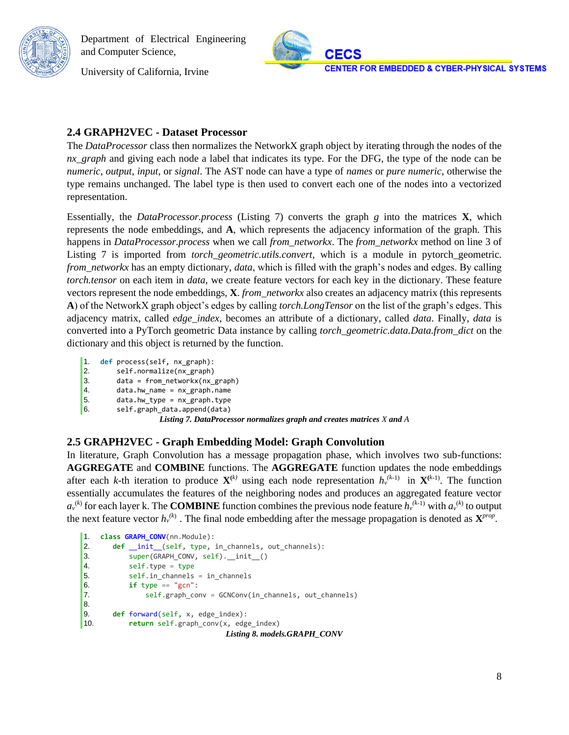University of California, Irvine



### <span id="page-8-0"></span>**2.4 GRAPH2VEC - Dataset Processor**

The *DataProcessor* class then normalizes the NetworkX graph object by iterating through the nodes of the *nx\_graph* and giving each node a label that indicates its type. For the DFG, the type of the node can be *numeric*, *output*, *input*, or *signal*. The AST node can have a type of *names* or *pure numeric*, otherwise the type remains unchanged. The label type is then used to convert each one of the nodes into a vectorized representation.

Essentially, the *DataProcessor.process* (Listing 7) converts the graph *g* into the matrices **X**, which represents the node embeddings, and **A**, which represents the adjacency information of the graph. This happens in *DataProcessor.process* when we call *from\_networkx*. The *from\_networkx* method on line 3 of Listing 7 is imported from *torch\_geometric.utils.convert*, which is a module in pytorch\_geometric. *from\_networkx* has an empty dictionary, *data*, which is filled with the graph's nodes and edges. By calling *torch.tensor* on each item in *data*, we create feature vectors for each key in the dictionary. These feature vectors represent the node embeddings, **X**. *from\_networkx* also creates an adjacency matrix (this represents **A**) of the NetworkX graph object's edges by calling *torch.LongTensor* on the list of the graph's edges. This adjacency matrix, called *edge\_index*, becomes an attribute of a dictionary, called *data*. Finally, *data* is converted into a PyTorch geometric Data instance by calling *torch\_geometric.data.Data.from\_dict* on the dictionary and this object is returned by the function.

- 1. **def** process(self, nx\_graph):
- 2. self.normalize(nx\_graph)
- 3. data = from\_networkx(nx\_graph)
- 4. data.hw\_name = nx\_graph.name
- 5. data.hw\_type = nx\_graph.type
- 6. self.graph\_data.append(data)

*Listing 7. DataProcessor normalizes graph and creates matrices X and A*

### <span id="page-8-1"></span>**2.5 GRAPH2VEC - Graph Embedding Model: Graph Convolution**

In literature, Graph Convolution has a message propagation phase, which involves two sub-functions: **AGGREGATE** and **COMBINE** functions. The **AGGREGATE** function updates the node embeddings after each *k*-th iteration to produce  $X^{(k)}$  using each node representation  $h_v^{(k-1)}$  in  $X^{(k-1)}$ . The function essentially accumulates the features of the neighboring nodes and produces an aggregated feature vector  $a_v^{(k)}$  for each layer k. The **COMBINE** function combines the previous node feature  $h_v^{(k-1)}$  with  $a_v^{(k)}$  to output the next feature vector  $h_v^{(k)}$ . The final node embedding after the message propagation is denoted as  $\mathbf{X}^{prop}$ .

```
1. class GRAPH_CONV(nn.Module):
2. def _init_(self, type, in_channels, out_channels):
3. super(GRAPH_CONV, self).__init__()
4. self.type = type
5. self.in_channels = in_channels
6. if type == "gcn":7. self.graph_conv = GCNConv(in_channels, out_channels)
8.
9. def forward(self, x, edge_index):
10. return self.graph_conv(x, edge_index)
                              Listing 8. models.GRAPH_CONV
```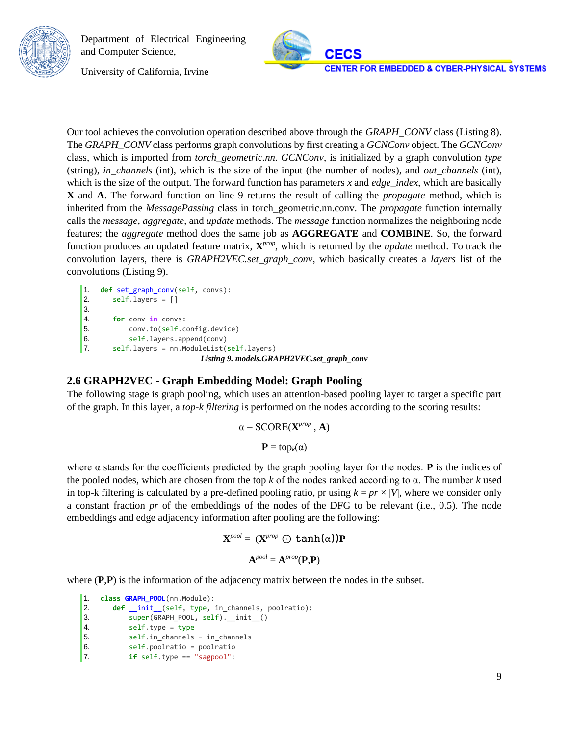

University of California, Irvine

Our tool achieves the convolution operation described above through the *GRAPH\_CONV* class (Listing 8). The *GRAPH\_CONV* class performs graph convolutions by first creating a *GCNConv* object. The *GCNConv*  class, which is imported from *torch\_geometric.nn. GCNConv*, is initialized by a graph convolution *type*  (string), *in\_channels* (int), which is the size of the input (the number of nodes), and *out\_channels* (int), which is the size of the output. The forward function has parameters *x* and *edge\_index*, which are basically **X** and **A**. The forward function on line 9 returns the result of calling the *propagate* method, which is inherited from the *MessagePassing* class in torch\_geometric.nn.conv. The *propagate* function internally calls the *message*, *aggregate*, and *update* methods. The *message* function normalizes the neighboring node features; the *aggregate* method does the same job as **AGGREGATE** and **COMBINE**. So, the forward function produces an updated feature matrix,  $X^{prop}$ , which is returned by the *update* method. To track the convolution layers, there is *GRAPH2VEC.set\_graph\_conv*, which basically creates a *layers* list of the convolutions (Listing 9).

```
1. def set_graph_conv(self, convs):
2. self.layers = []
3.
4. for conv in convs:
5. conv.to(self.config.device)
6. self.layers.append(conv)
7. self.layers = nn.ModuleList(self.layers)
                         Listing 9. models.GRAPH2VEC.set_graph_conv
```
#### <span id="page-9-0"></span>**2.6 GRAPH2VEC - Graph Embedding Model: Graph Pooling**

The following stage is graph pooling, which uses an attention-based pooling layer to target a specific part of the graph. In this layer, a *top-k filtering* is performed on the nodes according to the scoring results:

$$
\alpha = \text{SCORE}(\mathbf{X}^{\text{prop}} , \mathbf{A})
$$

$$
\mathbf{P} = \text{top}_{k}(\alpha)
$$

where  $\alpha$  stands for the coefficients predicted by the graph pooling layer for the nodes. **P** is the indices of the pooled nodes, which are chosen from the top *k* of the nodes ranked according to α. The number *k* used in top-k filtering is calculated by a pre-defined pooling ratio, pr using  $k = pr \times |V|$ , where we consider only a constant fraction *pr* of the embeddings of the nodes of the DFG to be relevant (i.e., 0.5). The node embeddings and edge adjacency information after pooling are the following:

$$
\mathbf{X}^{pool} = (\mathbf{X}^{prop} \bigodot \tanh(\alpha))\mathbf{P}
$$

$$
\mathbf{A}^{pool} = \mathbf{A}^{prop}(\mathbf{P}, \mathbf{P})
$$

where (**P**,**P**) is the information of the adjacency matrix between the nodes in the subset.

```
1. class GRAPH_POOL(nn.Module):
2. def __init__(self, type, in_channels, poolratio):
3. super(GRAPH_POOL, self).__init__()
4. self.type = type
5. self.in channels = in channels
6. self.poolratio = poolratio
7. if self.type == "sagpool":
```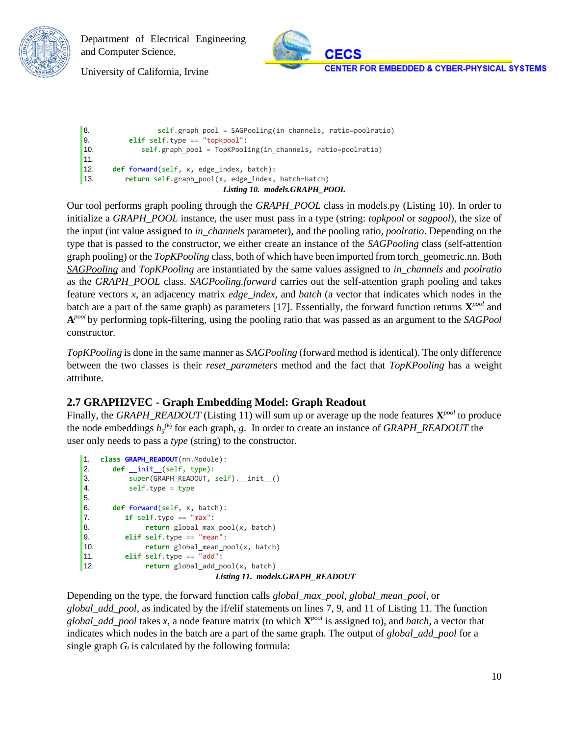



University of California, Irvine

```
8. Same Self.graph_pool = SAGPooling(in_channels, ratio=poolratio)
9. elif self.type == "topkpool":
10. self.graph_pool = TopKPooling(in_channels, ratio=poolratio)
11.
12. def forward(self, x, edge_index, batch):
13. return self.graph_pool(x, edge_index, batch=batch)
                              Listing 10. models.GRAPH_POOL
```
Our tool performs graph pooling through the *GRAPH\_POOL* class in models.py (Listing 10). In order to initialize a *GRAPH\_POOL* instance, the user must pass in a type (string: *topkpool* or *sagpool*), the size of the input (int value assigned to *in\_channels* parameter), and the pooling ratio, *poolratio*. Depending on the type that is passed to the constructor, we either create an instance of the *SAGPooling* class (self-attention graph pooling) or the *TopKPooling* class, both of which have been imported from torch\_geometric.nn. Both *SAGPooling* and *TopKPooling* are instantiated by the same values assigned to *in\_channels* and *poolratio*  as the *GRAPH\_POOL* class. *SAGPooling.forward* carries out the self-attention graph pooling and takes feature vectors *x*, an adjacency matrix *edge\_index*, and *batch* (a vector that indicates which nodes in the batch are a part of the same graph) as parameters [17]. Essentially, the forward function returns **X** *pool* and **A** *pool* by performing topk-filtering, using the pooling ratio that was passed as an argument to the *SAGPool* constructor.

*TopKPooling* is done in the same manner as *SAGPooling* (forward method is identical). The only difference between the two classes is their *reset\_parameters* method and the fact that *TopKPooling* has a weight attribute.

### <span id="page-10-0"></span>**2.7 GRAPH2VEC - Graph Embedding Model: Graph Readout**

Finally, the *GRAPH\_READOUT* (Listing 11) will sum up or average up the node features **X** *pool* to produce the node embeddings *h<sup>g</sup>* (*k*) for each graph, *g*. In order to create an instance of *GRAPH\_READOUT* the user only needs to pass a *type* (string) to the constructor.

```
1. class GRAPH_READOUT(nn.Module):
2. def __init__(self, type):
3. super(GRAPH_READOUT, self).__init__()
4. self.type = type
5.
6. def forward(self, x, batch):
7. if self.type == "max":
8. return global_max_pool(x, batch)
9. elif self.type == "mean":
10. return global_mean_pool(x, batch)
11. elif self.type == "add":
12. return global_add_pool(x, batch)
                           Listing 11. models.GRAPH_READOUT
```
Depending on the type, the forward function calls *global\_max\_pool*, *global\_mean\_pool*, or *global\_add\_pool*, as indicated by the if/elif statements on lines 7, 9, and 11 of Listing 11. The function *global\_add\_pool* takes *x*, a node feature matrix (to which **X** *pool* is assigned to), and *batch*, a vector that indicates which nodes in the batch are a part of the same graph. The output of *global\_add\_pool* for a single graph  $G_i$  is calculated by the following formula: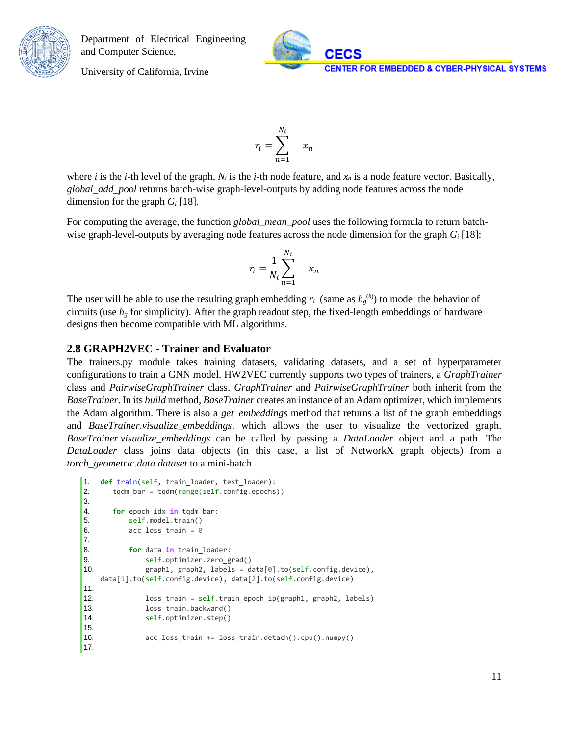

University of California, Irvine

where *i* is the *i*-th level of the graph,  $N_i$  is the *i*-th node feature, and  $x_n$  is a node feature vector. Basically, *global\_add\_pool* returns batch-wise graph-level-outputs by adding node features across the node dimension for the graph *G<sup>i</sup>* [18].

 $r_i = \sum$ 

 $N_i$ 

 $n=1$ 

 $x_n$ 

For computing the average, the function *global\_mean\_pool* uses the following formula to return batchwise graph-level-outputs by averaging node features across the node dimension for the graph *G<sup>i</sup>* [18]:

$$
r_i = \frac{1}{N_i} \sum_{n=1}^{N_i} x_n
$$

The user will be able to use the resulting graph embedding  $r_i$  (same as  $h_g^{(k)}$ ) to model the behavior of circuits (use *h<sup>g</sup>* for simplicity). After the graph readout step, the fixed-length embeddings of hardware designs then become compatible with ML algorithms.

#### <span id="page-11-0"></span>**2.8 GRAPH2VEC - Trainer and Evaluator**

The trainers.py module takes training datasets, validating datasets, and a set of hyperparameter configurations to train a GNN model. HW2VEC currently supports two types of trainers, a *GraphTrainer*  class and *PairwiseGraphTrainer* class. *GraphTrainer* and *PairwiseGraphTrainer* both inherit from the *BaseTrainer*. In its *build* method, *BaseTrainer* creates an instance of an Adam optimizer, which implements the Adam algorithm. There is also a *get\_embeddings* method that returns a list of the graph embeddings and *BaseTrainer.visualize\_embeddings*, which allows the user to visualize the vectorized graph. *BaseTrainer.visualize\_embeddings* can be called by passing a *DataLoader* object and a path. The *DataLoader* class joins data objects (in this case, a list of NetworkX graph objects) from a *torch\_geometric.data.dataset* to a mini-batch.

```
1. def train(self, train loader, test loader):
2. tqdm_bar = tqdm(range(self.config.epochs))
3.
4. for epoch_idx in tqdm_bar:
5. self.model.train()
6. acc_loss_train = 07.
8. for data in train_loader:
9. self.optimizer.zero_grad()
10. graph1, graph2, labels = data[0].to(self.config.device), 
   data[1].to(self.config.device), data[2].to(self.config.device)
11.
12. loss_train = self.train_epoch_ip(graph1, graph2, labels)
13. loss_train.backward()
14. self.optimizer.step()
15.
16. acc_loss_train += loss_train.detach().cpu().numpy()
17.
```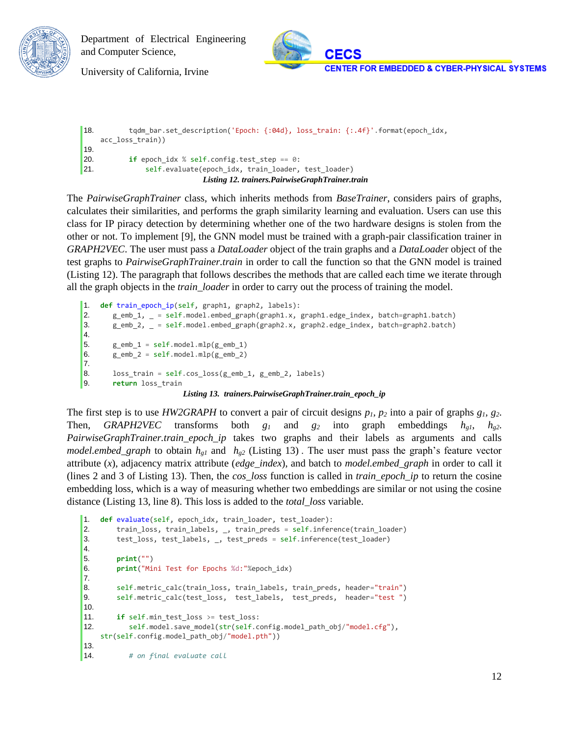



University of California, Irvine

```
18. tqdm_bar.set_description('Epoch: {:04d}, loss_train: {:.4f}'.format(epoch_idx, 
    acc_loss_train))
19.
20. if epoch idx % self.config.test step == 0:
21. self.evaluate(epoch_idx, train_loader, test_loader)
                           Listing 12. trainers.PairwiseGraphTrainer.train
```
The *PairwiseGraphTrainer* class, which inherits methods from *BaseTrainer*, considers pairs of graphs, calculates their similarities, and performs the graph similarity learning and evaluation. Users can use this class for IP piracy detection by determining whether one of the two hardware designs is stolen from the other or not. To implement [9], the GNN model must be trained with a graph-pair classification trainer in *GRAPH2VEC*. The user must pass a *DataLoader* object of the train graphs and a *DataLoade*r object of the test graphs to *PairwiseGraphTrainer.train* in order to call the function so that the GNN model is trained (Listing 12). The paragraph that follows describes the methods that are called each time we iterate through all the graph objects in the *train\_loader* in order to carry out the process of training the model.

```
1. def train_epoch_ip(self, graph1, graph2, labels):
2. g_emb_1, _ = self.model.embed_graph(graph1.x, graph1.edge_index, batch=graph1.batch)
3. g_emb_2, _ = self.model.embed_graph(graph2.x, graph2.edge_index, batch=graph2.batch)
4.
5. g_emb_1 = self.model.mlp(g_emb_1)
6. g_{emb_2} = self.model.mlp(g_{emb_2})7.
8. loss_train = self.cos_loss(g_emb_1, g_emb_2, labels)
9. return loss_train
                       Listing 13. trainers.PairwiseGraphTrainer.train_epoch_ip
```
The first step is to use *HW2GRAPH* to convert a pair of circuit designs *p1, p<sup>2</sup>* into a pair of graphs *g1, g2*. Then, *GRAPH2VEC* transforms both  $g_1$  and  $g_2$  into graph embeddings  $h_{g1}$ ,  $h_{g2}$ . *PairwiseGraphTrainer.train\_epoch\_ip* takes two graphs and their labels as arguments and calls *model.embed\_graph* to obtain  $h_{gl}$  and  $h_{g2}$  (Listing 13). The user must pass the graph's feature vector attribute (*x*), adjacency matrix attribute (*edge\_index*), and batch to *model.embed\_graph* in order to call it (lines 2 and 3 of Listing 13). Then, the *cos\_loss* function is called in *train\_epoch\_ip* to return the cosine embedding loss, which is a way of measuring whether two embeddings are similar or not using the cosine distance (Listing 13, line 8). This loss is added to the *total\_loss* variable.

```
1. def evaluate(self, epoch_idx, train_loader, test_loader):
2. train_loss, train_labels, _, train_preds = self.inference(train_loader)
3. test_loss, test_labels, _, test_preds = self.inference(test_loader)
4.
5. print("")
6. print("Mini Test for Epochs %d:"%epoch_idx)
7.
8. self.metric_calc(train_loss, train_labels, train_preds, header="train")
9. self.metric_calc(test_loss, test_labels, test_preds, header="test ")
10.
11. if self.min_test_loss >= test_loss:
12. self.model.save_model(str(self.config.model_path_obj/"model.cfg"), 
   str(self.config.model_path_obj/"model.pth"))
13.
14. # on final evaluate call
```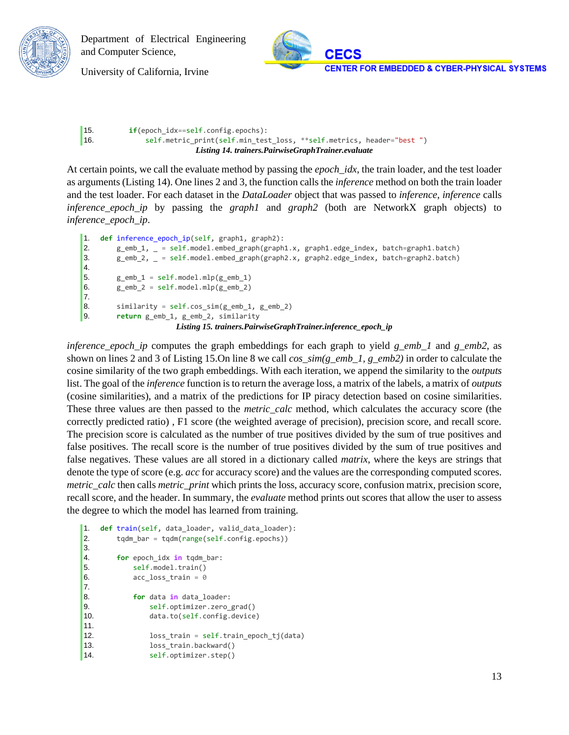



University of California, Irvine

```
15. if(epoch_idx==self.config.epochs):
16. self.metric_print(self.min_test_loss, **self.metrics, header="best ")
                         Listing 14. trainers.PairwiseGraphTrainer.evaluate
```
At certain points, we call the evaluate method by passing the *epoch\_idx*, the train loader, and the test loader as arguments (Listing 14). One lines 2 and 3, the function calls the *inference* method on both the train loader and the test loader. For each dataset in the *DataLoader* object that was passed to *inference*, *inference* calls *inference\_epoch\_ip* by passing the *graph1* and *graph2* (both are NetworkX graph objects) to *inference\_epoch\_ip*.

```
1. def inference_epoch_ip(self, graph1, graph2):
2. g_emb_1, _ = self.model.embed_graph(graph1.x, graph1.edge_index, batch=graph1.batch)
3. g_emb_2, _ = self.model.embed_graph(graph2.x, graph2.edge_index, batch=graph2.batch)
4.
5. g emb 1 = \text{self-model.mlp}(g \text{ emb } 1)6. g_{emb_2} = self.model.mlp(g_{emb_2})7.
8. similarity = self.cos_sim(g_emb_1, g_emb_2)
9. return g_emb_1, g_emb_2, similarity
                      Listing 15. trainers.PairwiseGraphTrainer.inference_epoch_ip
```
*inference\_epoch\_ip* computes the graph embeddings for each graph to yield *g\_emb\_1* and *g\_emb2*, as shown on lines 2 and 3 of Listing 15.On line 8 we call *cos\_sim(g\_emb\_1, g\_emb2)* in order to calculate the cosine similarity of the two graph embeddings. With each iteration, we append the similarity to the *outputs* list. The goal of the *inference* function is to return the average loss, a matrix of the labels, a matrix of *outputs* (cosine similarities), and a matrix of the predictions for IP piracy detection based on cosine similarities. These three values are then passed to the *metric\_calc* method, which calculates the accuracy score (the correctly predicted ratio) , F1 score (the weighted average of precision), precision score, and recall score. The precision score is calculated as the number of true positives divided by the sum of true positives and false positives. The recall score is the number of true positives divided by the sum of true positives and false negatives. These values are all stored in a dictionary called *matrix*, where the keys are strings that denote the type of score (e.g. *acc* for accuracy score) and the values are the corresponding computed scores. *metric\_calc* then calls *metric\_print* which prints the loss, accuracy score, confusion matrix, precision score, recall score, and the header. In summary, the *evaluate* method prints out scores that allow the user to assess the degree to which the model has learned from training.

```
1. def train(self, data_loader, valid_data_loader):
2. tqdm_bar = tqdm(range(self.config.epochs))
3.
4. for epoch_idx in tqdm_bar:
5. self.model.train()
6. acc_loss_train = 0
7.
8. for data in data_loader:
9. self.optimizer.zero_grad()
10. data.to(self.config.device)
11.
12. loss_train = self.train_epoch_tj(data)
13. loss_train.backward()
14. self.optimizer.step()
```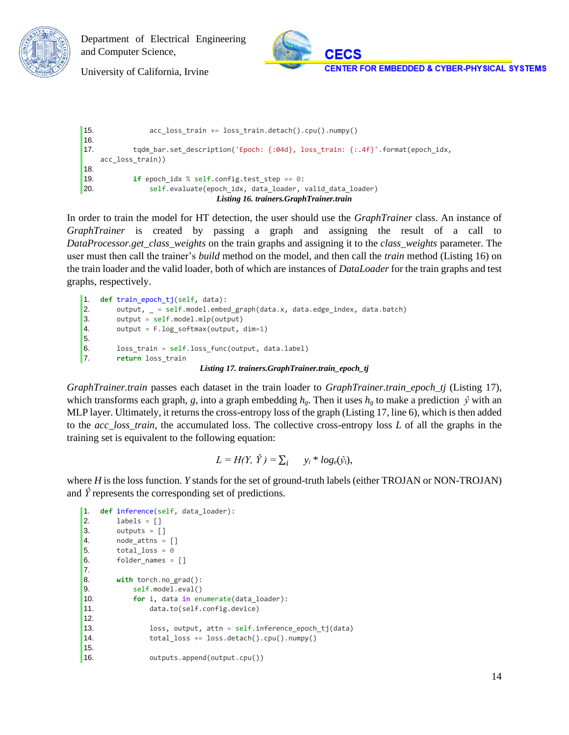



University of California, Irvine

```
15. acc_loss_train += loss_train.detach().cpu().numpy()
16.
17. tqdm bar.set description('Epoch: {:04d}, loss train: {:.4f}'.format(epoch_idx,
   acc_loss_train))
18.
19. if epoch_idx % self.config.test_step == 0:
20. self.evaluate(epoch_idx, data_loader, valid_data_loader)
                             Listing 16. trainers.GraphTrainer.train
```
In order to train the model for HT detection, the user should use the *GraphTrainer* class. An instance of *GraphTrainer* is created by passing a graph and assigning the result of a call to *DataProcessor.get\_class\_weights* on the train graphs and assigning it to the *class\_weights* parameter. The user must then call the trainer's *build* method on the model, and then call the *train* method (Listing 16) on the train loader and the valid loader, both of which are instances of *DataLoader* for the train graphs and test graphs, respectively.

```
1. def train_epoch_tj(self, data):
2. output, _ = self.model.embed_graph(data.x, data.edge_index, data.batch)
3. output = self.model.mlp(output)
4. output = F.log_softmax(output, dim=1)
5.
6. loss train = self.loss func(output, data.label)
7. return loss_train
                           Listing 17. trainers.GraphTrainer.train_epoch_tj
```
*GraphTrainer.train* passes each dataset in the train loader to *GraphTrainer.train\_epoch\_tj* (Listing 17), which transforms each graph, *g*, into a graph embedding  $h_g$ . Then it uses  $h_g$  to make a prediction  $\hat{y}$  with an MLP layer. Ultimately, it returns the cross-entropy loss of the graph (Listing 17, line 6), which is then added to the *acc\_loss\_train*, the accumulated loss. The collective cross-entropy loss *L* of all the graphs in the training set is equivalent to the following equation:

$$
L = H(Y, \hat{Y}) = \sum_i \quad y_i * log_e(\hat{y}_i),
$$

where *H* is the loss function. *Y* stands for the set of ground-truth labels (either TROJAN or NON-TROJAN) and  $\hat{Y}$  represents the corresponding set of predictions.

```
1. def inference(self, data_loader):
2. labels = []
3. outputs = []4. node_attns = \begin{bmatrix} \end{bmatrix}5. total loss = 06. folder_names = []
7. 
8. with torch.no_grad():
9. self.model.eval()
10. for i, data in enumerate(data_loader):
11. data.to(self.config.device)
12.
13. loss, output, attn = self.inference_epoch_tj(data)
14. total_loss += loss.detach().cpu().numpy()
15.
16. outputs.append(output.cpu())
```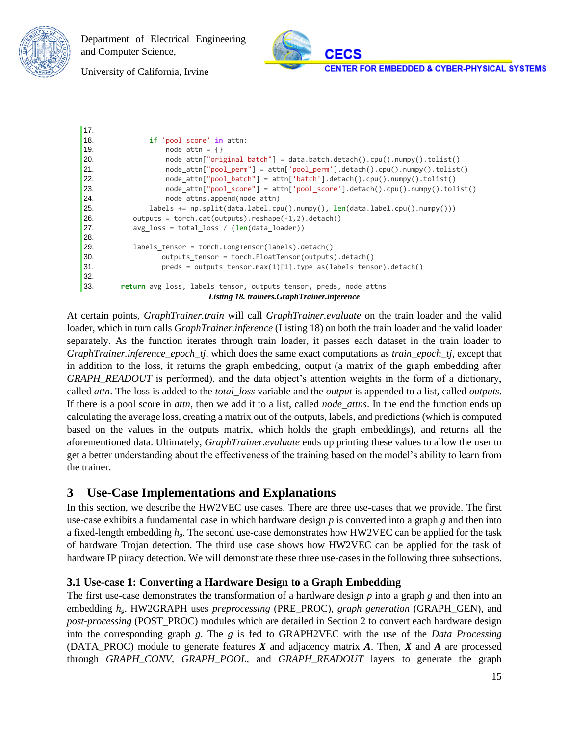



University of California, Irvine

```
17.
18. if 'pool_score' in attn:
19. node \text{ attn } = {}20. hode attn["original batch"] = data.batch.detach().cpu().numpy().tolist()
21. node_attn["pool_perm"] = attn['pool_perm'].detach().cpu().numpy().tolist()
22. node_attn["pool_batch"] = attn['batch'].detach().cpu().numpy().tolist()
23. node_attn["pool_score"] = attn['pool_score'].detach().cpu().numpy().tolist()
24. node attns.append(node attn)
25. labels += np.split(data.label.cpu().numpy(), len(data.label.cpu().numpy()))
26. \qquad \qquad \text{outputs} = \text{torch.cat(outputs)}.\text{reshape}(-1,2).\text{detach}()27. avg_loss = total_loss / (len(data_loader))
28. 
29. labels tensor = torch.LongTensor(labels).detach()
30. outputs tensor = torch.FloatTensor(outputs).detach()
31. preds = outputs tensor.max(1)[1].type as(labels tensor).detach()
32.
33. return avg_loss, labels_tensor, outputs_tensor, preds, node_attns
                           Listing 18. trainers.GraphTrainer.inference
```
At certain points, *GraphTrainer.train* will call *GraphTrainer.evaluate* on the train loader and the valid loader, which in turn calls *GraphTrainer.inference* (Listing 18) on both the train loader and the valid loader separately. As the function iterates through train loader, it passes each dataset in the train loader to *GraphTrainer.inference\_epoch\_tj*, which does the same exact computations as *train\_epoch\_tj*, except that in addition to the loss, it returns the graph embedding, output (a matrix of the graph embedding after *GRAPH\_READOUT* is performed), and the data object's attention weights in the form of a dictionary, called *attn*. The loss is added to the *total\_loss* variable and the *output* is appended to a list, called *outputs*. If there is a pool score in *attn*, then we add it to a list, called *node\_attns*. In the end the function ends up calculating the average loss, creating a matrix out of the outputs, labels, and predictions (which is computed based on the values in the outputs matrix, which holds the graph embeddings), and returns all the aforementioned data. Ultimately, *GraphTrainer.evaluate* ends up printing these values to allow the user to get a better understanding about the effectiveness of the training based on the model's ability to learn from the trainer.

### <span id="page-15-0"></span>**3 Use-Case Implementations and Explanations**

In this section, we describe the HW2VEC use cases. There are three use-cases that we provide. The first use-case exhibits a fundamental case in which hardware design *p* is converted into a graph *g* and then into a fixed-length embedding *hg*. The second use-case demonstrates how HW2VEC can be applied for the task of hardware Trojan detection. The third use case shows how HW2VEC can be applied for the task of hardware IP piracy detection. We will demonstrate these three use-cases in the following three subsections.

### <span id="page-15-1"></span>**3.1 Use-case 1: Converting a Hardware Design to a Graph Embedding**

The first use-case demonstrates the transformation of a hardware design *p* into a graph *g* and then into an embedding *hg*. HW2GRAPH uses *preprocessing* (PRE\_PROC), *graph generation* (GRAPH\_GEN), and *post-processing* (POST\_PROC) modules which are detailed in Section 2 to convert each hardware design into the corresponding graph *g*. The *g* is fed to GRAPH2VEC with the use of the *Data Processing* (DATA\_PROC) module to generate features *X* and adjacency matrix *A*. Then, *X* and *A* are processed through *GRAPH\_CONV*, *GRAPH\_POOL*, and *GRAPH\_READOUT* layers to generate the graph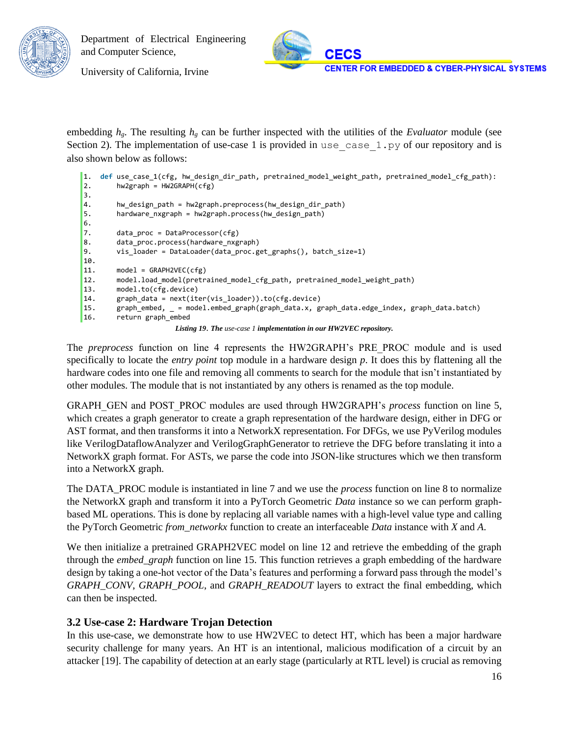

University of California, Irvine

embedding *hg*. The resulting *h<sup>g</sup>* can be further inspected with the utilities of the *Evaluator* module (see Section 2). The implementation of use-case 1 is provided in use case  $1.py$  of our repository and is also shown below as follows:

```
1. def use case 1(cfg, hw design dir path, pretrained model weight path, pretrained model cfg path):
2. hw2graph = HW2GRAPH(cfg)
3. 
4. hw_design_path = hw2graph.preprocess(hw_design_dir_path)
5. hardware_nxgraph = hw2graph.process(hw_design_path)
6.
7. data proc = DataProcessor(cfg)
8. data_proc.process(hardware_nxgraph)
9. vis_loader = DataLoader(data_proc.get_graphs(), batch_size=1)
10. 
11. model = GRAPH2VEC(cfg)
12. model.load_model(pretrained_model_cfg_path, pretrained_model_weight_path)
13. model.to(cfg.device)
14. graph_data = next(iter(vis_loader)).to(cfg.device)
15. graph_embed, _ = model.embed_graph(graph_data.x, graph_data.edge_index, graph_data.batch)
16. return graph_embed
                     Listing 19. The use-case 1 implementation in our HW2VEC repository.
```
The *preprocess* function on line 4 represents the HW2GRAPH's PRE\_PROC module and is used specifically to locate the *entry point* top module in a hardware design *p*. It does this by flattening all the hardware codes into one file and removing all comments to search for the module that isn't instantiated by other modules. The module that is not instantiated by any others is renamed as the top module.

GRAPH\_GEN and POST\_PROC modules are used through HW2GRAPH's *process* function on line 5, which creates a graph generator to create a graph representation of the hardware design, either in DFG or AST format, and then transforms it into a NetworkX representation. For DFGs, we use PyVerilog modules like VerilogDataflowAnalyzer and VerilogGraphGenerator to retrieve the DFG before translating it into a NetworkX graph format. For ASTs, we parse the code into JSON-like structures which we then transform into a NetworkX graph.

The DATA\_PROC module is instantiated in line 7 and we use the *process* function on line 8 to normalize the NetworkX graph and transform it into a PyTorch Geometric *Data* instance so we can perform graphbased ML operations. This is done by replacing all variable names with a high-level value type and calling the PyTorch Geometric *from\_networkx* function to create an interfaceable *Data* instance with *X* and *A*.

We then initialize a pretrained GRAPH2VEC model on line 12 and retrieve the embedding of the graph through the *embed\_graph* function on line 15. This function retrieves a graph embedding of the hardware design by taking a one-hot vector of the Data's features and performing a forward pass through the model's *GRAPH\_CONV*, *GRAPH\_POOL*, and *GRAPH\_READOUT* layers to extract the final embedding, which can then be inspected.

### <span id="page-16-0"></span>**3.2 Use-case 2: Hardware Trojan Detection**

In this use-case, we demonstrate how to use HW2VEC to detect HT, which has been a major hardware security challenge for many years. An HT is an intentional, malicious modification of a circuit by an attacker [19]. The capability of detection at an early stage (particularly at RTL level) is crucial as removing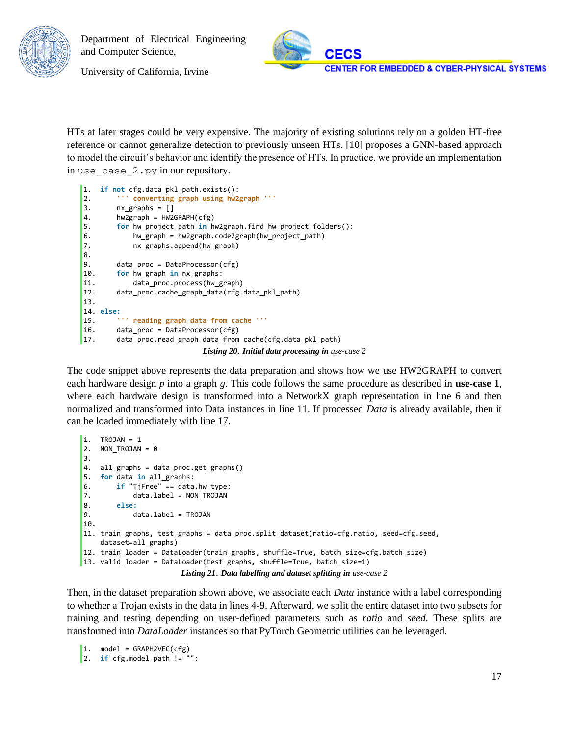

University of California, Irvine

HTs at later stages could be very expensive. The majority of existing solutions rely on a golden HT-free reference or cannot generalize detection to previously unseen HTs. [10] proposes a GNN-based approach to model the circuit's behavior and identify the presence of HTs. In practice, we provide an implementation in use case 2.py in our repository.

```
1. if not cfg.data_pkl_path.exists():
2. ''' converting graph using hw2graph '''
3. nx\_graphs = []4. hw2graph = HW2GRAPH(cfg)
5. for hw_project_path in hw2graph.find_hw_project_folders():
6. hw_graph = hw2graph.code2graph(hw_project_path)
7. nx_graphs.append(hw_graph)
8. 
9. data_proc = DataProcessor(cfg)
10. for hw_graph in nx_graphs:
11. data_proc.process(hw_graph)
12. data_proc.cache_graph_data(cfg.data_pkl_path)
13. 
14. else:
15. ''' reading graph data from cache '''
16. data_proc = DataProcessor(cfg)
17. data_proc.read_graph_data_from_cache(cfg.data_pkl_path)
                           Listing 20. Initial data processing in use-case 2
```
The code snippet above represents the data preparation and shows how we use HW2GRAPH to convert each hardware design *p* into a graph *g*. This code follows the same procedure as described in **use-case 1**, where each hardware design is transformed into a NetworkX graph representation in line 6 and then normalized and transformed into Data instances in line 11. If processed *Data* is already available, then it can be loaded immediately with line 17.

```
1. TROJAN = 1
2. NON_TROJAN = 03.
4. all_graphs = data_proc.get_graphs()
5. for data in all_graphs:
6. if "TjFree" == data.hw_type:
7. data.label = NON_TROJAN
8. else:
9. data.label = TROJAN
10.
11. train_graphs, test_graphs = data_proc.split_dataset(ratio=cfg.ratio, seed=cfg.seed, 
    dataset=all_graphs)
12. train_loader = DataLoader(train_graphs, shuffle=True, batch_size=cfg.batch_size)
13. valid_loader = DataLoader(test_graphs, shuffle=True, batch_size=1)
                       Listing 21. Data labelling and dataset splitting in use-case 2
```
Then, in the dataset preparation shown above, we associate each *Data* instance with a label corresponding to whether a Trojan exists in the data in lines 4-9. Afterward, we split the entire dataset into two subsets for training and testing depending on user-defined parameters such as *ratio* and *seed*. These splits are transformed into *DataLoader* instances so that PyTorch Geometric utilities can be leveraged.

```
1. model = GRAPH2VEC(cfg)2. if cfg.model_path != "":
```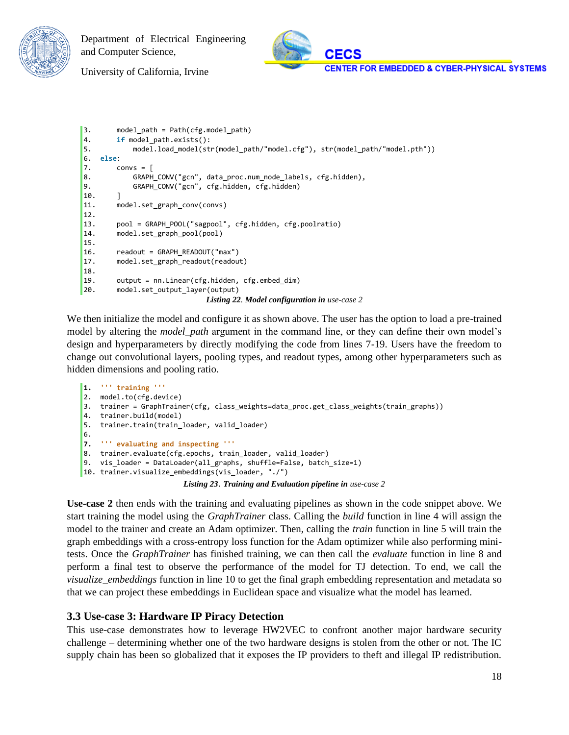



University of California, Irvine

```
3. model_path = Path(cfg.model_path)
4. if model_path.exists():
5. model.load_model(str(model_path/"model.cfg"), str(model_path/"model.pth"))
6. else:
7. convs = \lceil8. GRAPH_CONV("gcn", data_proc.num_node_labels, cfg.hidden),
9. GRAPH_CONV("gcn", cfg.hidden, cfg.hidden)
10. ]
11. model.set_graph_conv(convs)
12.
13. pool = GRAPH_POOL("sagpool", cfg.hidden, cfg.poolratio)
14. model.set_graph_pool(pool)
15.
16. readout = GRAPH_READOUT("max")
17. model.set_graph_readout(readout)
18.
19. output = nn.Linear(cfg.hidden, cfg.embed_dim)
20. model.set_output_layer(output)
                           Listing 22. Model configuration in use-case 2
```
We then initialize the model and configure it as shown above. The user has the option to load a pre-trained model by altering the *model\_path* argument in the command line, or they can define their own model's design and hyperparameters by directly modifying the code from lines 7-19. Users have the freedom to change out convolutional layers, pooling types, and readout types, among other hyperparameters such as hidden dimensions and pooling ratio.

```
1. ''' training '''
2. model.to(cfg.device)
3. trainer = GraphTrainer(cfg, class_weights=data_proc.get_class_weights(train_graphs))
4. trainer.build(model)
5. trainer.train(train_loader, valid_loader)
6.
7. ''' evaluating and inspecting '''
8. trainer.evaluate(cfg.epochs, train_loader, valid_loader)
9. vis_loader = DataLoader(all_graphs, shuffle=False, batch_size=1)
10. trainer.visualize_embeddings(vis_loader, "./")
                         Listing 23. Training and Evaluation pipeline in use-case 2
```
**Use-case 2** then ends with the training and evaluating pipelines as shown in the code snippet above. We start training the model using the *GraphTrainer* class. Calling the *build* function in line 4 will assign the model to the trainer and create an Adam optimizer. Then, calling the *train* function in line 5 will train the graph embeddings with a cross-entropy loss function for the Adam optimizer while also performing minitests. Once the *GraphTrainer* has finished training, we can then call the *evaluate* function in line 8 and perform a final test to observe the performance of the model for TJ detection. To end, we call the *visualize\_embeddings* function in line 10 to get the final graph embedding representation and metadata so that we can project these embeddings in Euclidean space and visualize what the model has learned.

### <span id="page-18-0"></span>**3.3 Use-case 3: Hardware IP Piracy Detection**

This use-case demonstrates how to leverage HW2VEC to confront another major hardware security challenge – determining whether one of the two hardware designs is stolen from the other or not. The IC supply chain has been so globalized that it exposes the IP providers to theft and illegal IP redistribution.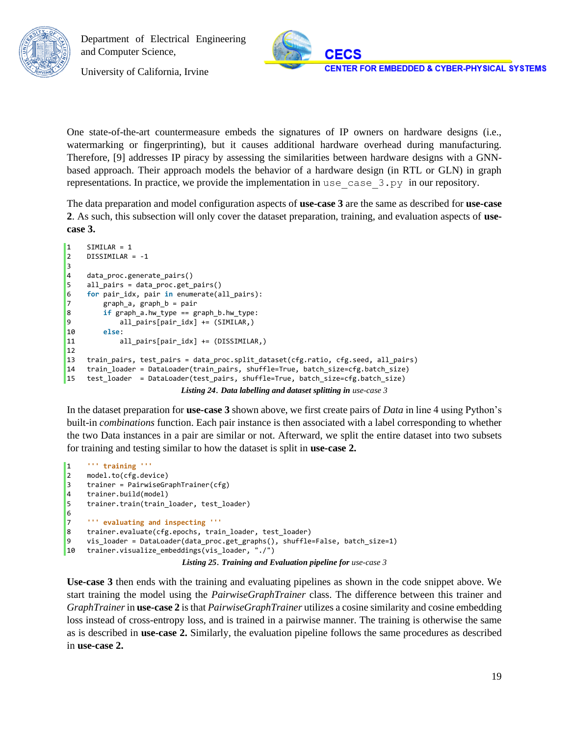

University of California, Irvine

One state-of-the-art countermeasure embeds the signatures of IP owners on hardware designs (i.e., watermarking or fingerprinting), but it causes additional hardware overhead during manufacturing. Therefore, [9] addresses IP piracy by assessing the similarities between hardware designs with a GNNbased approach. Their approach models the behavior of a hardware design (in RTL or GLN) in graph representations. In practice, we provide the implementation in use\_case\_3.py in our repository.

The data preparation and model configuration aspects of **use-case 3** are the same as described for **use-case 2**. As such, this subsection will only cover the dataset preparation, training, and evaluation aspects of **usecase 3.**

```
1 SIMILAR = 1
2 DISSIMILAR = -1
3
4 data_proc.generate_pairs()
5 all_pairs = data_proc.get_pairs()
6 for pair_idx, pair in enumerate(all_pairs):
7 graph_a, graph_b = pair
8 if graph_a.hw_type == graph_b.hw_type:
9 all_pairs[pair_idx] += (SIMILAR,)
10 else:
11 all_pairs[pair_idx] += (DISSIMILAR,)
12
13 train_pairs, test_pairs = data_proc.split_dataset(cfg.ratio, cfg.seed, all_pairs)
14 train_loader = DataLoader(train_pairs, shuffle=True, batch_size=cfg.batch_size)
15 test_loader = DataLoader(test_pairs, shuffle=True, batch_size=cfg.batch_size)
                          Listing 24. Data labelling and dataset splitting in use-case 3
```
In the dataset preparation for **use-case 3** shown above, we first create pairs of *Data* in line 4 using Python's built-in *combinations* function. Each pair instance is then associated with a label corresponding to whether the two Data instances in a pair are similar or not. Afterward, we split the entire dataset into two subsets for training and testing similar to how the dataset is split in **use-case 2.**

```
1 ''' training '''
2 model.to(cfg.device)
3 trainer = PairwiseGraphTrainer(cfg)
4 trainer.build(model)
5 trainer.train(train_loader, test_loader)
6
7 ''' evaluating and inspecting '''
8 trainer.evaluate(cfg.epochs, train_loader, test_loader)
9 vis_loader = DataLoader(data_proc.get_graphs(), shuffle=False, batch_size=1)
10 trainer.visualize_embeddings(vis_loader, "./")
                           Listing 25. Training and Evaluation pipeline for use-case 3
```
**Use-case 3** then ends with the training and evaluating pipelines as shown in the code snippet above. We start training the model using the *PairwiseGraphTrainer* class. The difference between this trainer and *GraphTrainer*in **use-case 2** is that *PairwiseGraphTrainer* utilizes a cosine similarity and cosine embedding loss instead of cross-entropy loss, and is trained in a pairwise manner. The training is otherwise the same as is described in **use-case 2.** Similarly, the evaluation pipeline follows the same procedures as described in **use-case 2.**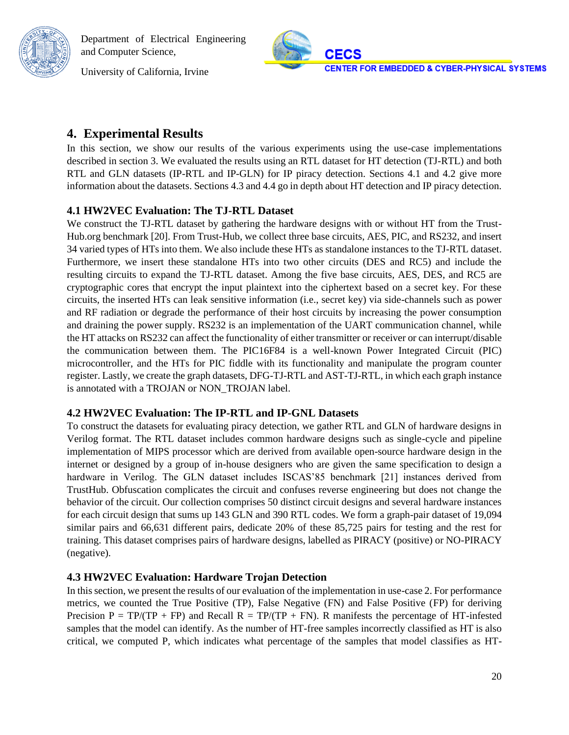University of California, Irvine



### <span id="page-20-0"></span>**4. Experimental Results**

In this section, we show our results of the various experiments using the use-case implementations described in section 3. We evaluated the results using an RTL dataset for HT detection (TJ-RTL) and both RTL and GLN datasets (IP-RTL and IP-GLN) for IP piracy detection. Sections 4.1 and 4.2 give more information about the datasets. Sections 4.3 and 4.4 go in depth about HT detection and IP piracy detection.

#### <span id="page-20-1"></span>**4.1 HW2VEC Evaluation: The TJ-RTL Dataset**

We construct the TJ-RTL dataset by gathering the hardware designs with or without HT from the Trust-Hub.org benchmark [20]. From Trust-Hub, we collect three base circuits, AES, PIC, and RS232, and insert 34 varied types of HTs into them. We also include these HTs as standalone instances to the TJ-RTL dataset. Furthermore, we insert these standalone HTs into two other circuits (DES and RC5) and include the resulting circuits to expand the TJ-RTL dataset. Among the five base circuits, AES, DES, and RC5 are cryptographic cores that encrypt the input plaintext into the ciphertext based on a secret key. For these circuits, the inserted HTs can leak sensitive information (i.e., secret key) via side-channels such as power and RF radiation or degrade the performance of their host circuits by increasing the power consumption and draining the power supply. RS232 is an implementation of the UART communication channel, while the HT attacks on RS232 can affect the functionality of either transmitter or receiver or can interrupt/disable the communication between them. The PIC16F84 is a well-known Power Integrated Circuit (PIC) microcontroller, and the HTs for PIC fiddle with its functionality and manipulate the program counter register. Lastly, we create the graph datasets, DFG-TJ-RTL and AST-TJ-RTL, in which each graph instance is annotated with a TROJAN or NON\_TROJAN label.

### <span id="page-20-2"></span>**4.2 HW2VEC Evaluation: The IP-RTL and IP-GNL Datasets**

To construct the datasets for evaluating piracy detection, we gather RTL and GLN of hardware designs in Verilog format. The RTL dataset includes common hardware designs such as single-cycle and pipeline implementation of MIPS processor which are derived from available open-source hardware design in the internet or designed by a group of in-house designers who are given the same specification to design a hardware in Verilog. The GLN dataset includes ISCAS'85 benchmark [21] instances derived from TrustHub. Obfuscation complicates the circuit and confuses reverse engineering but does not change the behavior of the circuit. Our collection comprises 50 distinct circuit designs and several hardware instances for each circuit design that sums up 143 GLN and 390 RTL codes. We form a graph-pair dataset of 19,094 similar pairs and 66,631 different pairs, dedicate 20% of these 85,725 pairs for testing and the rest for training. This dataset comprises pairs of hardware designs, labelled as PIRACY (positive) or NO-PIRACY (negative).

### <span id="page-20-3"></span>**4.3 HW2VEC Evaluation: Hardware Trojan Detection**

In this section, we present the results of our evaluation of the implementation in use-case 2. For performance metrics, we counted the True Positive (TP), False Negative (FN) and False Positive (FP) for deriving Precision  $P = TP/(TP + FP)$  and Recall  $R = TP/(TP + FN)$ . R manifests the percentage of HT-infested samples that the model can identify. As the number of HT-free samples incorrectly classified as HT is also critical, we computed P, which indicates what percentage of the samples that model classifies as HT-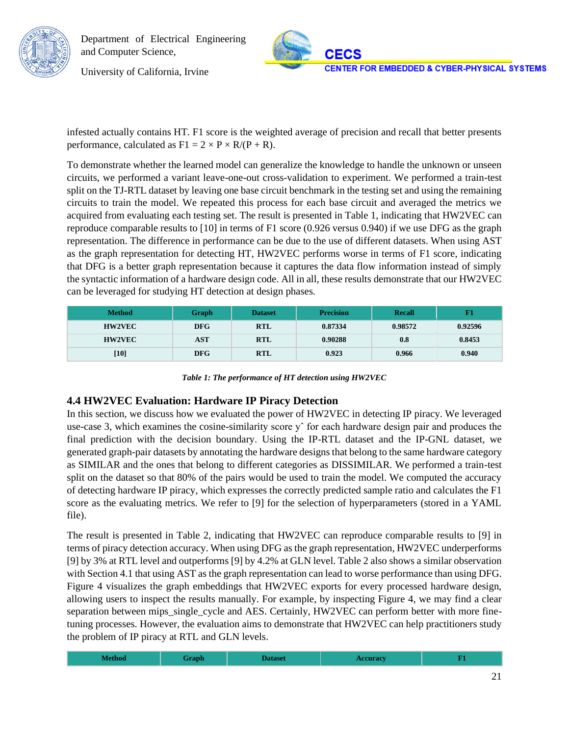

University of California, Irvine

infested actually contains HT. F1 score is the weighted average of precision and recall that better presents performance, calculated as  $F1 = 2 \times P \times R/(P + R)$ .

To demonstrate whether the learned model can generalize the knowledge to handle the unknown or unseen circuits, we performed a variant leave-one-out cross-validation to experiment. We performed a train-test split on the TJ-RTL dataset by leaving one base circuit benchmark in the testing set and using the remaining circuits to train the model. We repeated this process for each base circuit and averaged the metrics we acquired from evaluating each testing set. The result is presented in Table 1, indicating that HW2VEC can reproduce comparable results to [10] in terms of F1 score (0.926 versus 0.940) if we use DFG as the graph representation. The difference in performance can be due to the use of different datasets. When using AST as the graph representation for detecting HT, HW2VEC performs worse in terms of F1 score, indicating that DFG is a better graph representation because it captures the data flow information instead of simply the syntactic information of a hardware design code. All in all, these results demonstrate that our HW2VEC can be leveraged for studying HT detection at design phases.

| <b>Method</b> | Graph      | <b>Dataset</b> | <b>Precision</b> | Recall  |         |
|---------------|------------|----------------|------------------|---------|---------|
| <b>HW2VEC</b> | <b>DFG</b> | <b>RTL</b>     | 0.87334          | 0.98572 | 0.92596 |
| <b>HW2VEC</b> | AST        | <b>RTL</b>     | 0.90288          | 0.8     | 0.8453  |
| $[10]$        | <b>DFG</b> | <b>RTL</b>     | 0.923            | 0.966   | 0.940   |

*Table 1: The performance of HT detection using HW2VEC*

### <span id="page-21-0"></span>**4.4 HW2VEC Evaluation: Hardware IP Piracy Detection**

In this section, we discuss how we evaluated the power of HW2VEC in detecting IP piracy. We leveraged use-case 3, which examines the cosine-similarity score y<sup>^</sup> for each hardware design pair and produces the final prediction with the decision boundary. Using the IP-RTL dataset and the IP-GNL dataset, we generated graph-pair datasets by annotating the hardware designs that belong to the same hardware category as SIMILAR and the ones that belong to different categories as DISSIMILAR. We performed a train-test split on the dataset so that 80% of the pairs would be used to train the model. We computed the accuracy of detecting hardware IP piracy, which expresses the correctly predicted sample ratio and calculates the F1 score as the evaluating metrics. We refer to [9] for the selection of hyperparameters (stored in a YAML file).

The result is presented in Table 2, indicating that HW2VEC can reproduce comparable results to [9] in terms of piracy detection accuracy. When using DFG as the graph representation, HW2VEC underperforms [9] by 3% at RTL level and outperforms [9] by 4.2% at GLN level. Table 2 also shows a similar observation with Section 4.1 that using AST as the graph representation can lead to worse performance than using DFG. Figure 4 visualizes the graph embeddings that HW2VEC exports for every processed hardware design, allowing users to inspect the results manually. For example, by inspecting Figure 4, we may find a clear separation between mips\_single\_cycle and AES. Certainly, HW2VEC can perform better with more finetuning processes. However, the evaluation aims to demonstrate that HW2VEC can help practitioners study the problem of IP piracy at RTL and GLN levels.

| <b>Method</b><br>raph<br><b>ceuracy</b><br><b>Dataset</b><br>__ |  |
|-----------------------------------------------------------------|--|
|-----------------------------------------------------------------|--|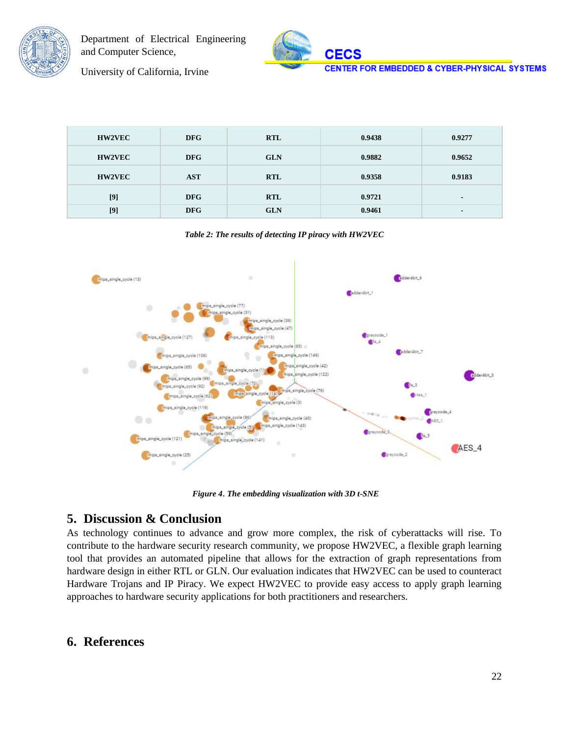



University of California, Irvine

| <b>HW2VEC</b> | <b>DFG</b> | <b>RTL</b> | 0.9438 | 0.9277 |
|---------------|------------|------------|--------|--------|
| <b>HW2VEC</b> | <b>DFG</b> | <b>GLN</b> | 0.9882 | 0.9652 |
| <b>HW2VEC</b> | <b>AST</b> | <b>RTL</b> | 0.9358 | 0.9183 |
| [9]           | <b>DFG</b> | <b>RTL</b> | 0.9721 |        |
| $[9]$         | <b>DFG</b> | <b>GLN</b> | 0.9461 |        |

*Table 2: The results of detecting IP piracy with HW2VEC*



*Figure 4*. *The embedding visualization with 3D t-SNE*

### <span id="page-22-0"></span>**5. Discussion & Conclusion**

As technology continues to advance and grow more complex, the risk of cyberattacks will rise. To contribute to the hardware security research community, we propose HW2VEC, a flexible graph learning tool that provides an automated pipeline that allows for the extraction of graph representations from hardware design in either RTL or GLN. Our evaluation indicates that HW2VEC can be used to counteract Hardware Trojans and IP Piracy. We expect HW2VEC to provide easy access to apply graph learning approaches to hardware security applications for both practitioners and researchers.

### <span id="page-22-1"></span>**6. References**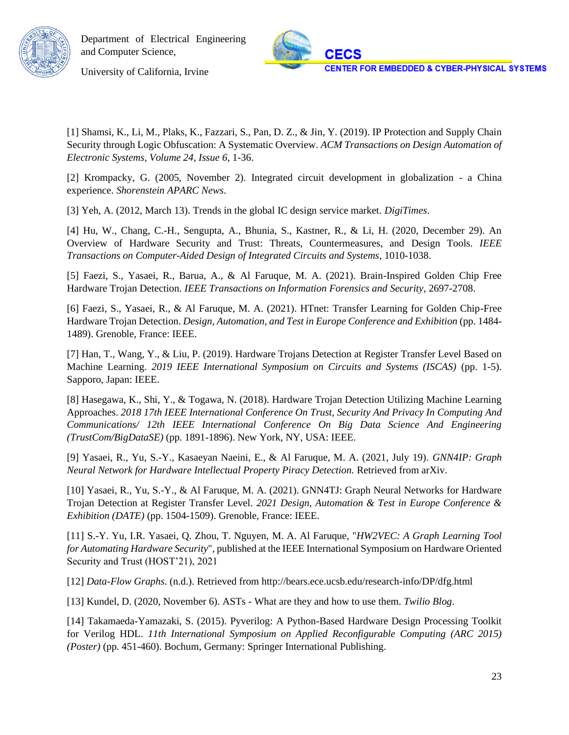

University of California, Irvine

[1] Shamsi, K., Li, M., Plaks, K., Fazzari, S., Pan, D. Z., & Jin, Y. (2019). IP Protection and Supply Chain Security through Logic Obfuscation: A Systematic Overview. *ACM Transactions on Design Automation of Electronic Systems, Volume 24, Issue 6*, 1-36.

[2] Krompacky, G. (2005, November 2). Integrated circuit development in globalization - a China experience. *Shorenstein APARC News*.

[3] Yeh, A. (2012, March 13). Trends in the global IC design service market. *DigiTimes*.

[4] Hu, W., Chang, C.-H., Sengupta, A., Bhunia, S., Kastner, R., & Li, H. (2020, December 29). An Overview of Hardware Security and Trust: Threats, Countermeasures, and Design Tools. *IEEE Transactions on Computer-Aided Design of Integrated Circuits and Systems*, 1010-1038.

[5] Faezi, S., Yasaei, R., Barua, A., & Al Faruque, M. A. (2021). Brain-Inspired Golden Chip Free Hardware Trojan Detection. *IEEE Transactions on Information Forensics and Security*, 2697-2708.

[6] Faezi, S., Yasaei, R., & Al Faruque, M. A. (2021). HTnet: Transfer Learning for Golden Chip-Free Hardware Trojan Detection. *Design, Automation, and Test in Europe Conference and Exhibition* (pp. 1484- 1489). Grenoble, France: IEEE.

[7] Han, T., Wang, Y., & Liu, P. (2019). Hardware Trojans Detection at Register Transfer Level Based on Machine Learning. *2019 IEEE International Symposium on Circuits and Systems (ISCAS)* (pp. 1-5). Sapporo, Japan: IEEE.

[8] Hasegawa, K., Shi, Y., & Togawa, N. (2018). Hardware Trojan Detection Utilizing Machine Learning Approaches. *2018 17th IEEE International Conference On Trust, Security And Privacy In Computing And Communications/ 12th IEEE International Conference On Big Data Science And Engineering (TrustCom/BigDataSE)* (pp. 1891-1896). New York, NY, USA: IEEE.

[9] Yasaei, R., Yu, S.-Y., Kasaeyan Naeini, E., & Al Faruque, M. A. (2021, July 19). *GNN4IP: Graph Neural Network for Hardware Intellectual Property Piracy Detection.* Retrieved from arXiv.

[10] Yasaei, R., Yu, S.-Y., & Al Faruque, M. A. (2021). GNN4TJ: Graph Neural Networks for Hardware Trojan Detection at Register Transfer Level. *2021 Design, Automation & Test in Europe Conference & Exhibition (DATE)* (pp. 1504-1509). Grenoble, France: IEEE.

[11] S.-Y. Yu, I.R. Yasaei, Q. Zhou, T. Nguyen, M. A. Al Faruque, "*HW2VEC: A Graph Learning Tool for Automating Hardware Security*", published at the IEEE International Symposium on Hardware Oriented Security and Trust (HOST'21), 2021

[12] *Data-Flow Graphs*. (n.d.). Retrieved from http://bears.ece.ucsb.edu/research-info/DP/dfg.html

[13] Kundel, D. (2020, November 6). ASTs - What are they and how to use them. *Twilio Blog*.

[14] Takamaeda-Yamazaki, S. (2015). Pyverilog: A Python-Based Hardware Design Processing Toolkit for Verilog HDL. *11th International Symposium on Applied Reconfigurable Computing (ARC 2015) (Poster)* (pp. 451-460). Bochum, Germany: Springer International Publishing.